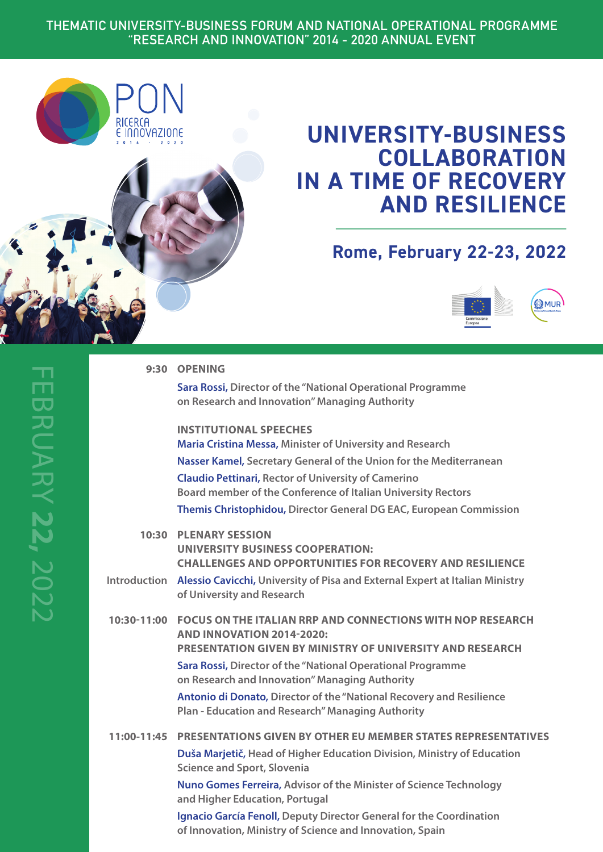## **THEMATIC UNIVERSITY-BUSINESS FORUM AND NATIONAL OPERATIONAL PROGRAMME "RESEARCH AND INNOVATION" 2014 - 2020 ANNUAL EVENT**



# **UNIVERSITY-BUSINESS COLLABORATION IN A TIME OF RECOVERY AND RESILIENCE**

## **Rome, February 22-23, 2022**



|              | 9:30 OPENING                                                                                                                                                       |
|--------------|--------------------------------------------------------------------------------------------------------------------------------------------------------------------|
|              | Sara Rossi, Director of the "National Operational Programme<br>on Research and Innovation" Managing Authority                                                      |
|              | <b>INSTITUTIONAL SPEECHES</b><br>Maria Cristina Messa, Minister of University and Research                                                                         |
|              | Nasser Kamel, Secretary General of the Union for the Mediterranean                                                                                                 |
|              | <b>Claudio Pettinari, Rector of University of Camerino</b><br>Board member of the Conference of Italian University Rectors                                         |
|              | Themis Christophidou, Director General DG EAC, European Commission                                                                                                 |
|              | <b>10:30 PLENARY SESSION</b><br><b>UNIVERSITY BUSINESS COOPERATION:</b><br><b>CHALLENGES AND OPPORTUNITIES FOR RECOVERY AND RESILIENCE</b>                         |
| Introduction | Alessio Cavicchi, University of Pisa and External Expert at Italian Ministry<br>of University and Research                                                         |
| 10:30-11:00  | <b>FOCUS ON THE ITALIAN RRP AND CONNECTIONS WITH NOP RESEARCH</b><br>AND INNOVATION 2014-2020:<br><b>PRESENTATION GIVEN BY MINISTRY OF UNIVERSITY AND RESEARCH</b> |
|              | Sara Rossi, Director of the "National Operational Programme<br>on Research and Innovation" Managing Authority                                                      |
|              | <b>Antonio di Donato, Director of the "National Recovery and Resilience</b><br><b>Plan - Education and Research" Managing Authority</b>                            |
| 11:00-11:45  | <b>PRESENTATIONS GIVEN BY OTHER EU MEMBER STATES REPRESENTATIVES</b>                                                                                               |
|              | Duša Marjetič, Head of Higher Education Division, Ministry of Education<br><b>Science and Sport, Slovenia</b>                                                      |
|              | Nuno Gomes Ferreira, Advisor of the Minister of Science Technology<br>and Higher Education, Portugal                                                               |
|              | Ignacio García Fenoll, Deputy Director General for the Coordination<br>of Innovation, Ministry of Science and Innovation, Spain                                    |
|              |                                                                                                                                                                    |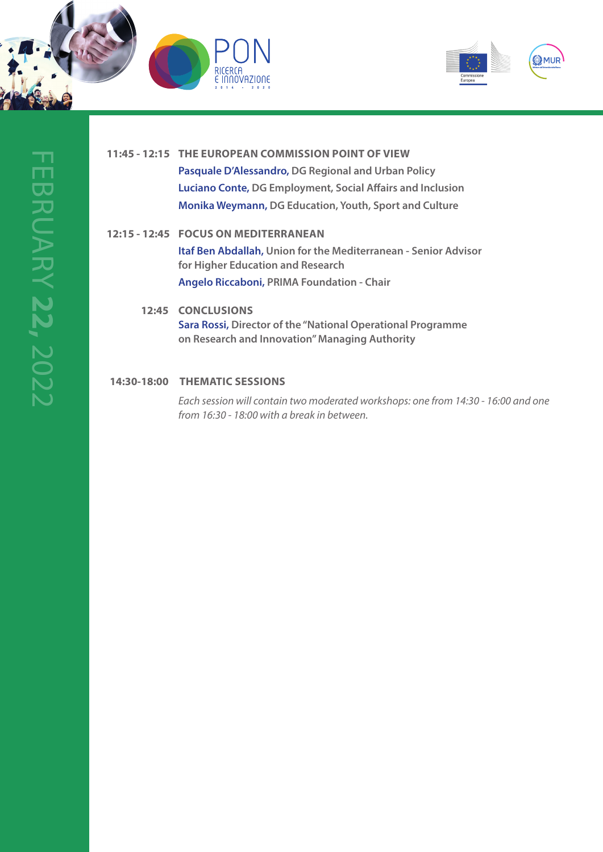



## **11:45 - 12:15 THE EUROPEAN COMMISSION POINT OF VIEW Pasquale D'Alessandro, DG Regional and Urban Policy Luciano Conte, DG Employment, Social Affairs and Inclusion Monika Weymann, DG Education, Youth, Sport and Culture**

### **12:15 - 12:45 FOCUS ON MEDITERRANEAN**

**Itaf Ben Abdallah, Union for the Mediterranean - Senior Advisor for Higher Education and Research Angelo Riccaboni, PRIMA Foundation - Chair**

## **12:45 CONCLUSIONS Sara Rossi, Director of the "National Operational Programme on Research and Innovation" Managing Authority**

### **14:30-18:00 THEMATIC SESSIONS**

*Each session will contain two moderated workshops: one from 14:30 - 16:00 and one from 16:30 - 18:00 with a break in between.*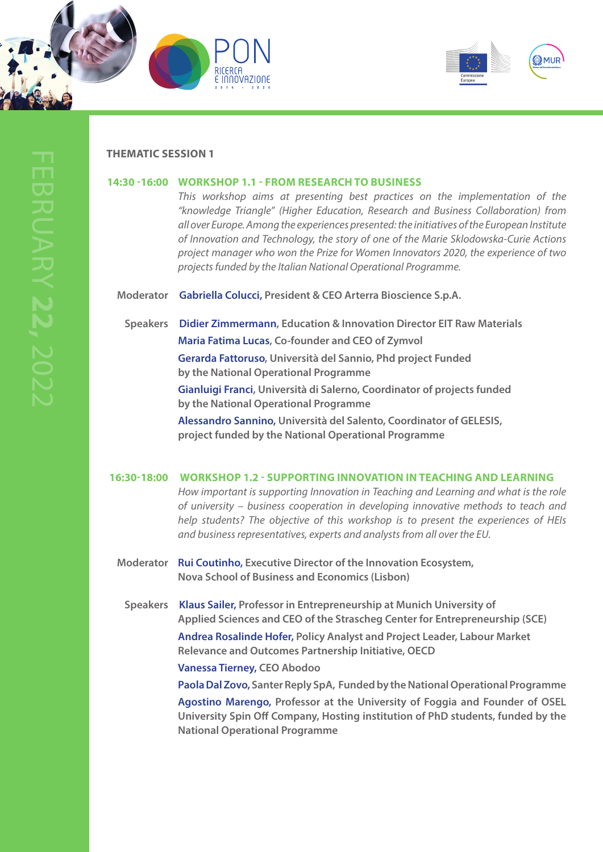





#### **THEMATIC SESSION 1**

#### **14:30 -16:00 WORKSHOP 1.1 - FROM RESEARCH TO BUSINESS**

*This workshop aims at presenting best practices on the implementation of the "knowledge Triangle" (Higher Education, Research and Business Collaboration) from all over Europe. Among the experiences presented: the initiatives of the European Institute of Innovation and Technology, the story of one of the Marie Sklodowska-Curie Actions project manager who won the Prize for Women Innovators 2020, the experience of two projects funded by the Italian National Operational Programme.* 

**Moderator Gabriella Colucci, President & CEO Arterra Bioscience S.p.A.**

**Speakers Didier Zimmermann, Education & Innovation Director EIT Raw Materials Maria Fatima Lucas, Co-founder and CEO of Zymvol Gerarda Fattoruso, Università del Sannio, Phd project Funded by the National Operational Programme Gianluigi Franci, Università di Salerno, Coordinator of projects funded by the National Operational Programme Alessandro Sannino, Università del Salento, Coordinator of GELESIS,** 

**project funded by the National Operational Programme**

#### **16:30-18:00 WORKSHOP 1.2 - SUPPORTING INNOVATION IN TEACHING AND LEARNING**

*How important is supporting Innovation in Teaching and Learning and what is the role of university – business cooperation in developing innovative methods to teach and help students? The objective of this workshop is to present the experiences of HEIs and business representatives, experts and analysts from all over the EU.*

**Moderator Rui Coutinho, Executive Director of the Innovation Ecosystem, Nova School of Business and Economics (Lisbon)**

**Speakers Klaus Sailer, Professor in Entrepreneurship at Munich University of Applied Sciences and CEO of the Strascheg Center for Entrepreneurship (SCE)** 

> **Andrea Rosalinde Hofer, Policy Analyst and Project Leader, Labour Market Relevance and Outcomes Partnership Initiative, OECD**

 **Vanessa Tierney, CEO Abodoo**

 **Paola Dal Zovo, Santer Reply SpA, Funded by the National Operational Programme**

 **Agostino Marengo, Professor at the University of Foggia and Founder of OSEL University Spin Off Company, Hosting institution of PhD students, funded by the National Operational Programme**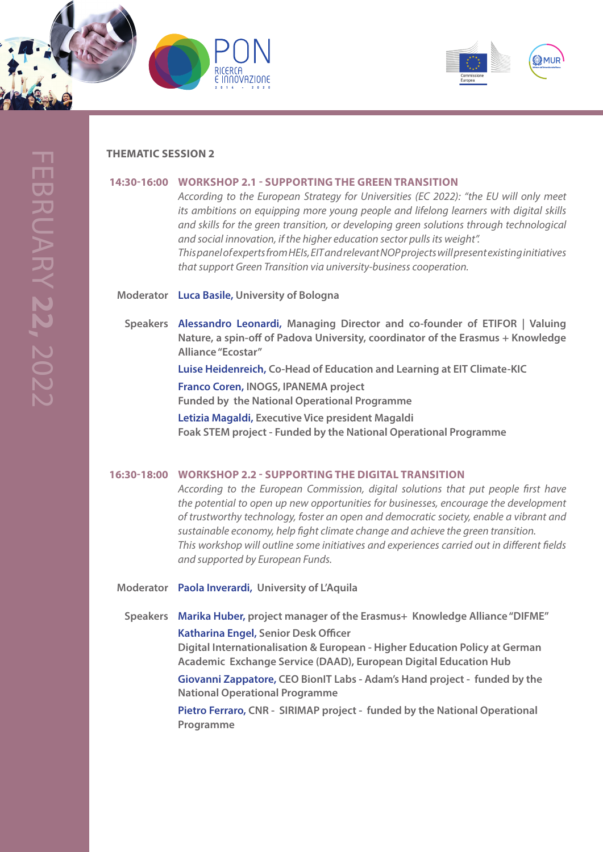





#### **THEMATIC SESSION 2**

#### **14:30-16:00 WORKSHOP 2.1 - SUPPORTING THE GREEN TRANSITION**

*According to the European Strategy for Universities (EC 2022): "the EU will only meet its ambitions on equipping more young people and lifelong learners with digital skills and skills for the green transition, or developing green solutions through technological and social innovation, if the higher education sector pulls its weight". This panel of experts from HEIs, EIT and relevant NOP projects will present existing initiatives that support Green Transition via university-business cooperation.*

**Moderator Luca Basile, University of Bologna**

**Speakers Alessandro Leonardi, Managing Director and co-founder of ETIFOR | Valuing Nature, a spin-off of Padova University, coordinator of the Erasmus + Knowledge Alliance "Ecostar"**

> **Luise Heidenreich, Co-Head of Education and Learning at EIT Climate-KIC Franco Coren, INOGS, IPANEMA project**

**Funded by the National Operational Programme**

**Letizia Magaldi, Executive Vice president Magaldi Foak STEM project - Funded by the National Operational Programme**

#### **16:30-18:00 WORKSHOP 2.2 - SUPPORTING THE DIGITAL TRANSITION**

*According to the European Commission, digital solutions that put people first have the potential to open up new opportunities for businesses, encourage the development of trustworthy technology, foster an open and democratic society, enable a vibrant and sustainable economy, help fight climate change and achieve the green transition. This workshop will outline some initiatives and experiences carried out in different fields and supported by European Funds.*

**Moderator Paola Inverardi, University of L'Aquila**

**Speakers Marika Huber, project manager of the Erasmus+ Knowledge Alliance "DIFME" Katharina Engel, Senior Desk Officer Digital Internationalisation & European - Higher Education Policy at German**

**Academic Exchange Service (DAAD), European Digital Education Hub**

 **Giovanni Zappatore, CEO BionIT Labs - Adam's Hand project - funded by the National Operational Programme**

 **Pietro Ferraro, CNR - SIRIMAP project - funded by the National Operational Programme**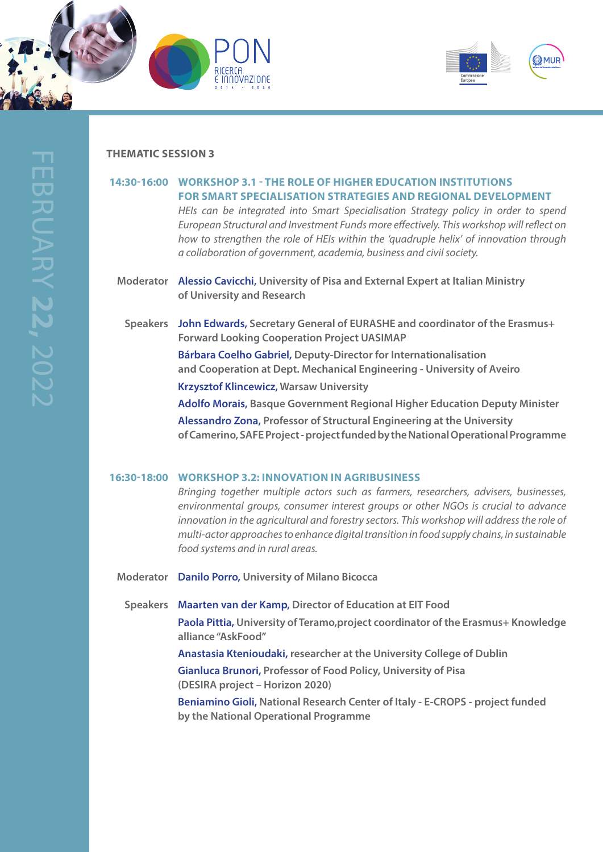





#### **THEMATIC SESSION 3**

## **14:30-16:00 WORKSHOP 3.1 - THE ROLE OF HIGHER EDUCATION INSTITUTIONS FOR SMART SPECIALISATION STRATEGIES AND REGIONAL DEVELOPMENT** *HEIs can be integrated into Smart Specialisation Strategy policy in order to spend*

*European Structural and Investment Funds more effectively. This workshop will reflect on how to strengthen the role of HEIs within the 'quadruple helix' of innovation through a collaboration of government, academia, business and civil society.*

- **Moderator Alessio Cavicchi, University of Pisa and External Expert at Italian Ministry of University and Research**
	- **Speakers John Edwards, Secretary General of EURASHE and coordinator of the Erasmus+ Forward Looking Cooperation Project UASIMAP**

**Bárbara Coelho Gabriel, Deputy-Director for Internationalisation and Cooperation at Dept. Mechanical Engineering - University of Aveiro Krzysztof Klincewicz, Warsaw University**

 **Adolfo Morais, Basque Government Regional Higher Education Deputy Minister**

 **Alessandro Zona, Professor of Structural Engineering at the University of Camerino, SAFE Project - project funded by the National Operational Programme** 

#### **16:30-18:00 WORKSHOP 3.2: INNOVATION IN AGRIBUSINESS**

*Bringing together multiple actors such as farmers, researchers, advisers, businesses, environmental groups, consumer interest groups or other NGOs is crucial to advance innovation in the agricultural and forestry sectors. This workshop will address the role of multi-actor approaches to enhance digital transition in food supply chains, in sustainable food systems and in rural areas.*

**Moderator Danilo Porro, University of Milano Bicocca**

**Speakers Maarten van der Kamp, Director of Education at EIT Food Paola Pittia, University of Teramo,project coordinator of the Erasmus+ Knowledge alliance "AskFood"** 

> **Anastasia Ktenioudaki, researcher at the University College of Dublin Gianluca Brunori, Professor of Food Policy, University of Pisa (DESIRA project – Horizon 2020)**

**Beniamino Gioli, National Research Center of Italy - E-CROPS - project funded by the National Operational Programme**